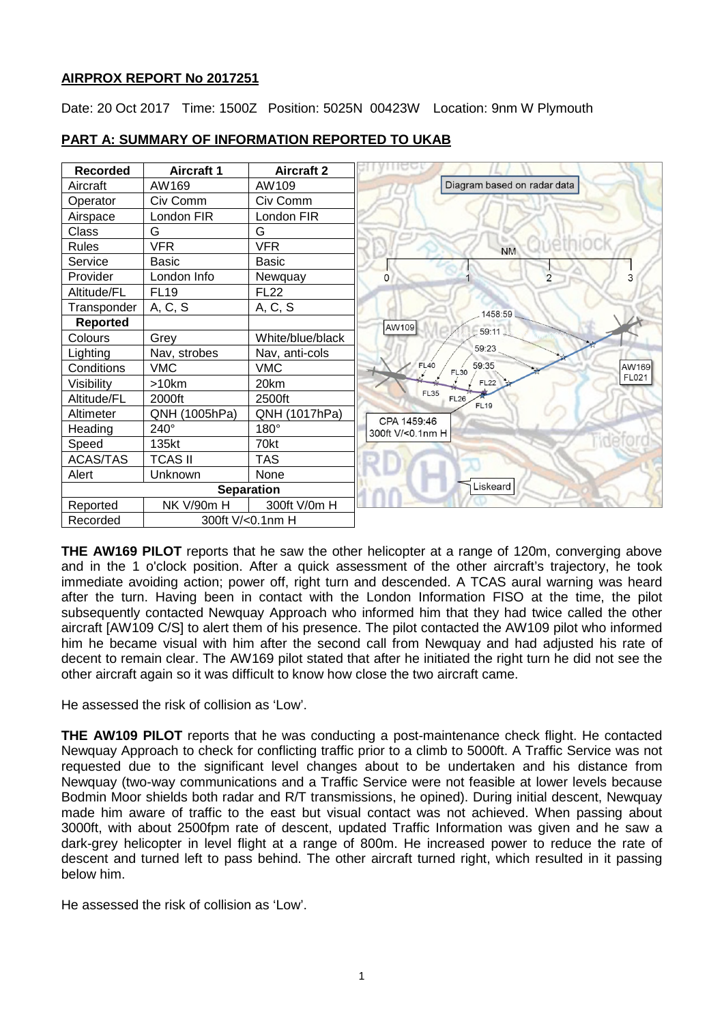# **AIRPROX REPORT No 2017251**

Date: 20 Oct 2017 Time: 1500Z Position: 5025N 00423W Location: 9nm W Plymouth



# **PART A: SUMMARY OF INFORMATION REPORTED TO UKAB**

**THE AW169 PILOT** reports that he saw the other helicopter at a range of 120m, converging above and in the 1 o'clock position. After a quick assessment of the other aircraft's trajectory, he took immediate avoiding action; power off, right turn and descended. A TCAS aural warning was heard after the turn. Having been in contact with the London Information FISO at the time, the pilot subsequently contacted Newquay Approach who informed him that they had twice called the other aircraft [AW109 C/S] to alert them of his presence. The pilot contacted the AW109 pilot who informed him he became visual with him after the second call from Newquay and had adjusted his rate of decent to remain clear. The AW169 pilot stated that after he initiated the right turn he did not see the other aircraft again so it was difficult to know how close the two aircraft came.

He assessed the risk of collision as 'Low'.

**THE AW109 PILOT** reports that he was conducting a post-maintenance check flight. He contacted Newquay Approach to check for conflicting traffic prior to a climb to 5000ft. A Traffic Service was not requested due to the significant level changes about to be undertaken and his distance from Newquay (two-way communications and a Traffic Service were not feasible at lower levels because Bodmin Moor shields both radar and R/T transmissions, he opined). During initial descent, Newquay made him aware of traffic to the east but visual contact was not achieved. When passing about 3000ft, with about 2500fpm rate of descent, updated Traffic Information was given and he saw a dark-grey helicopter in level flight at a range of 800m. He increased power to reduce the rate of descent and turned left to pass behind. The other aircraft turned right, which resulted in it passing below him.

He assessed the risk of collision as 'Low'.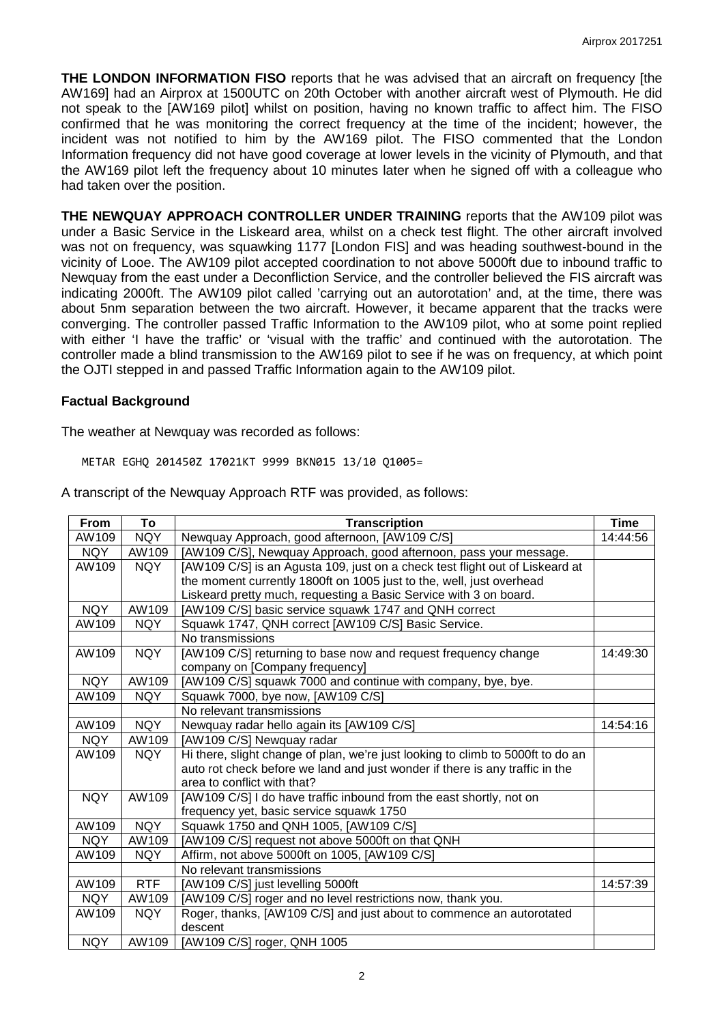**THE LONDON INFORMATION FISO** reports that he was advised that an aircraft on frequency [the AW169] had an Airprox at 1500UTC on 20th October with another aircraft west of Plymouth. He did not speak to the [AW169 pilot] whilst on position, having no known traffic to affect him. The FISO confirmed that he was monitoring the correct frequency at the time of the incident; however, the incident was not notified to him by the AW169 pilot. The FISO commented that the London Information frequency did not have good coverage at lower levels in the vicinity of Plymouth, and that the AW169 pilot left the frequency about 10 minutes later when he signed off with a colleague who had taken over the position.

**THE NEWQUAY APPROACH CONTROLLER UNDER TRAINING** reports that the AW109 pilot was under a Basic Service in the Liskeard area, whilst on a check test flight. The other aircraft involved was not on frequency, was squawking 1177 [London FIS] and was heading southwest-bound in the vicinity of Looe. The AW109 pilot accepted coordination to not above 5000ft due to inbound traffic to Newquay from the east under a Deconfliction Service, and the controller believed the FIS aircraft was indicating 2000ft. The AW109 pilot called 'carrying out an autorotation' and, at the time, there was about 5nm separation between the two aircraft. However, it became apparent that the tracks were converging. The controller passed Traffic Information to the AW109 pilot, who at some point replied with either 'I have the traffic' or 'visual with the traffic' and continued with the autorotation. The controller made a blind transmission to the AW169 pilot to see if he was on frequency, at which point the OJTI stepped in and passed Traffic Information again to the AW109 pilot.

### **Factual Background**

The weather at Newquay was recorded as follows:

METAR EGHQ 201450Z 17021KT 9999 BKN015 13/10 Q1005=

| From       | To         | <b>Transcription</b>                                                            | Time     |
|------------|------------|---------------------------------------------------------------------------------|----------|
| AW109      | <b>NQY</b> | Newquay Approach, good afternoon, [AW109 C/S]                                   | 14:44:56 |
| <b>NQY</b> | AW109      | [AW109 C/S], Newquay Approach, good afternoon, pass your message.               |          |
| AW109      | <b>NQY</b> | [AW109 C/S] is an Agusta 109, just on a check test flight out of Liskeard at    |          |
|            |            | the moment currently 1800ft on 1005 just to the, well, just overhead            |          |
|            |            | Liskeard pretty much, requesting a Basic Service with 3 on board.               |          |
| <b>NQY</b> | AW109      | [AW109 C/S] basic service squawk 1747 and QNH correct                           |          |
| AW109      | NQY        | Squawk 1747, QNH correct [AW109 C/S] Basic Service.                             |          |
|            |            | No transmissions                                                                |          |
| AW109      | <b>NQY</b> | [AW109 C/S] returning to base now and request frequency change                  | 14:49:30 |
|            |            | company on [Company frequency]                                                  |          |
| <b>NQY</b> | AW109      | [AW109 C/S] squawk 7000 and continue with company, bye, bye.                    |          |
| AW109      | <b>NQY</b> | Squawk 7000, bye now, [AW109 C/S]                                               |          |
|            |            | No relevant transmissions                                                       |          |
| AW109      | <b>NQY</b> | Newquay radar hello again its [AW109 C/S]                                       | 14:54:16 |
| <b>NQY</b> | AW109      | [AW109 C/S] Newquay radar                                                       |          |
| AW109      | NQY        | Hi there, slight change of plan, we're just looking to climb to 5000ft to do an |          |
|            |            | auto rot check before we land and just wonder if there is any traffic in the    |          |
|            |            | area to conflict with that?                                                     |          |
| <b>NQY</b> | AW109      | [AW109 C/S] I do have traffic inbound from the east shortly, not on             |          |
|            |            | frequency yet, basic service squawk 1750                                        |          |
| AW109      | <b>NQY</b> | Squawk 1750 and QNH 1005, [AW109 C/S]                                           |          |
| <b>NQY</b> | AW109      | [AW109 C/S] request not above 5000ft on that QNH                                |          |
| AW109      | <b>NQY</b> | Affirm, not above 5000ft on 1005, [AW109 C/S]                                   |          |
|            |            | No relevant transmissions                                                       |          |
| AW109      | RTF        | [AW109 C/S] just levelling 5000ft                                               | 14:57:39 |
| <b>NQY</b> | AW109      | [AW109 C/S] roger and no level restrictions now, thank you.                     |          |
| AW109      | <b>NQY</b> | Roger, thanks, [AW109 C/S] and just about to commence an autorotated            |          |
|            |            | descent                                                                         |          |
| <b>NQY</b> | AW109      | [AW109 C/S] roger, QNH 1005                                                     |          |

A transcript of the Newquay Approach RTF was provided, as follows: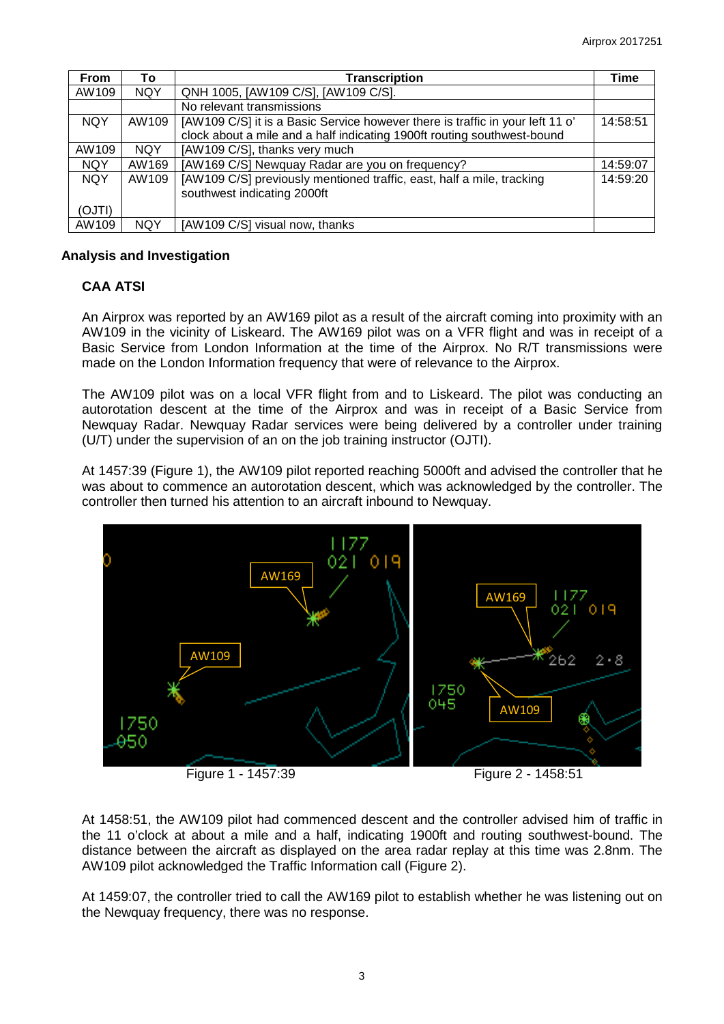| From       | To         | <b>Transcription</b>                                                          | Time     |
|------------|------------|-------------------------------------------------------------------------------|----------|
| AW109      | <b>NQY</b> | QNH 1005, [AW109 C/S], [AW109 C/S].                                           |          |
|            |            | No relevant transmissions                                                     |          |
| <b>NQY</b> | AW109      | [AW109 C/S] it is a Basic Service however there is traffic in your left 11 o' | 14:58:51 |
|            |            | clock about a mile and a half indicating 1900ft routing southwest-bound       |          |
| AW109      | <b>NQY</b> | [AW109 C/S], thanks very much                                                 |          |
| <b>NQY</b> | AW169      | [AW169 C/S] Newquay Radar are you on frequency?                               | 14:59:07 |
| <b>NQY</b> | AW109      | [AW109 C/S] previously mentioned traffic, east, half a mile, tracking         | 14:59:20 |
|            |            | southwest indicating 2000ft                                                   |          |
| (OJTI)     |            |                                                                               |          |
| AW109      | <b>NOY</b> | [AW109 C/S] visual now, thanks                                                |          |

## **Analysis and Investigation**

# **CAA ATSI**

An Airprox was reported by an AW169 pilot as a result of the aircraft coming into proximity with an AW109 in the vicinity of Liskeard. The AW169 pilot was on a VFR flight and was in receipt of a Basic Service from London Information at the time of the Airprox. No R/T transmissions were made on the London Information frequency that were of relevance to the Airprox.

The AW109 pilot was on a local VFR flight from and to Liskeard. The pilot was conducting an autorotation descent at the time of the Airprox and was in receipt of a Basic Service from Newquay Radar. Newquay Radar services were being delivered by a controller under training (U/T) under the supervision of an on the job training instructor (OJTI).

At 1457:39 (Figure 1), the AW109 pilot reported reaching 5000ft and advised the controller that he was about to commence an autorotation descent, which was acknowledged by the controller. The controller then turned his attention to an aircraft inbound to Newquay.



At 1458:51, the AW109 pilot had commenced descent and the controller advised him of traffic in the 11 o'clock at about a mile and a half, indicating 1900ft and routing southwest-bound. The distance between the aircraft as displayed on the area radar replay at this time was 2.8nm. The AW109 pilot acknowledged the Traffic Information call (Figure 2).

At 1459:07, the controller tried to call the AW169 pilot to establish whether he was listening out on the Newquay frequency, there was no response.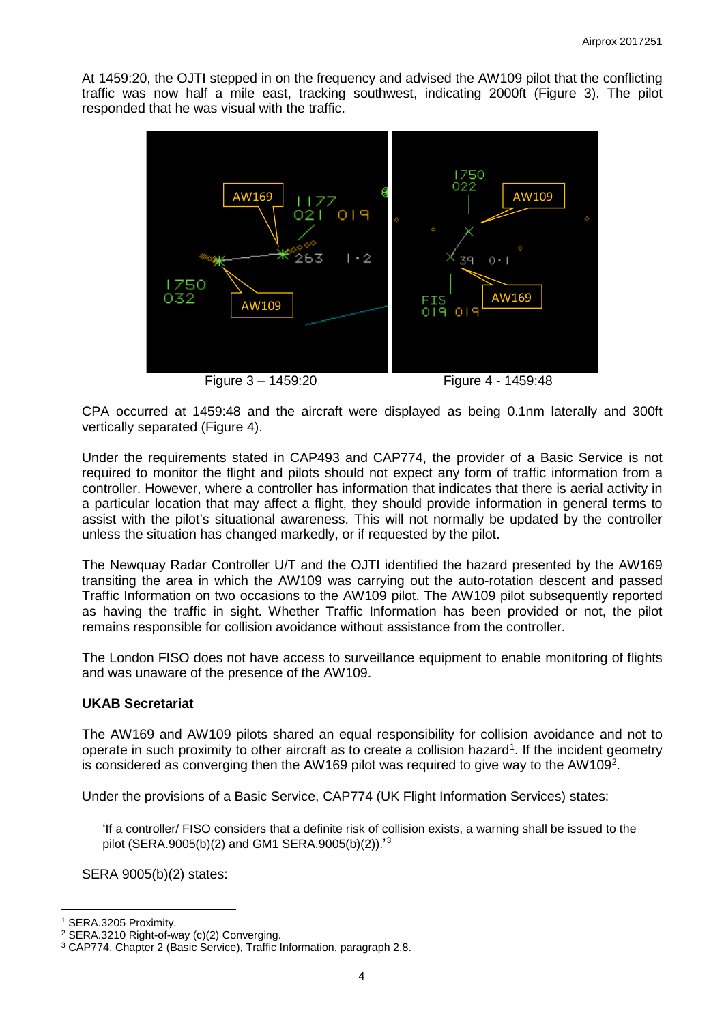At 1459:20, the OJTI stepped in on the frequency and advised the AW109 pilot that the conflicting traffic was now half a mile east, tracking southwest, indicating 2000ft (Figure 3). The pilot responded that he was visual with the traffic.



Figure 3 – 1459:20 Figure 4 - 1459:48

CPA occurred at 1459:48 and the aircraft were displayed as being 0.1nm laterally and 300ft vertically separated (Figure 4).

Under the requirements stated in CAP493 and CAP774, the provider of a Basic Service is not required to monitor the flight and pilots should not expect any form of traffic information from a controller. However, where a controller has information that indicates that there is aerial activity in a particular location that may affect a flight, they should provide information in general terms to assist with the pilot's situational awareness. This will not normally be updated by the controller unless the situation has changed markedly, or if requested by the pilot.

The Newquay Radar Controller U/T and the OJTI identified the hazard presented by the AW169 transiting the area in which the AW109 was carrying out the auto-rotation descent and passed Traffic Information on two occasions to the AW109 pilot. The AW109 pilot subsequently reported as having the traffic in sight. Whether Traffic Information has been provided or not, the pilot remains responsible for collision avoidance without assistance from the controller.

The London FISO does not have access to surveillance equipment to enable monitoring of flights and was unaware of the presence of the AW109.

# **UKAB Secretariat**

The AW169 and AW109 pilots shared an equal responsibility for collision avoidance and not to operate in such proximity to other aircraft as to create a collision hazard<sup>[1](#page-3-0)</sup>. If the incident geometry is considered as converging then the AW169 pilot was required to give way to the AW109<sup>2</sup>.

Under the provisions of a Basic Service, CAP774 (UK Flight Information Services) states:

'If a controller/ FISO considers that a definite risk of collision exists, a warning shall be issued to the pilot (SERA.9005(b)(2) and GM1 SERA.9005(b)(2)).<sup>1[3](#page-3-2)</sup>

SERA 9005(b)(2) states:

 $\overline{\phantom{a}}$ 

<span id="page-3-0"></span><sup>1</sup> SERA.3205 Proximity.

<span id="page-3-1"></span><sup>2</sup> SERA.3210 Right-of-way (c)(2) Converging.

<span id="page-3-2"></span><sup>3</sup> CAP774, Chapter 2 (Basic Service), Traffic Information, paragraph 2.8.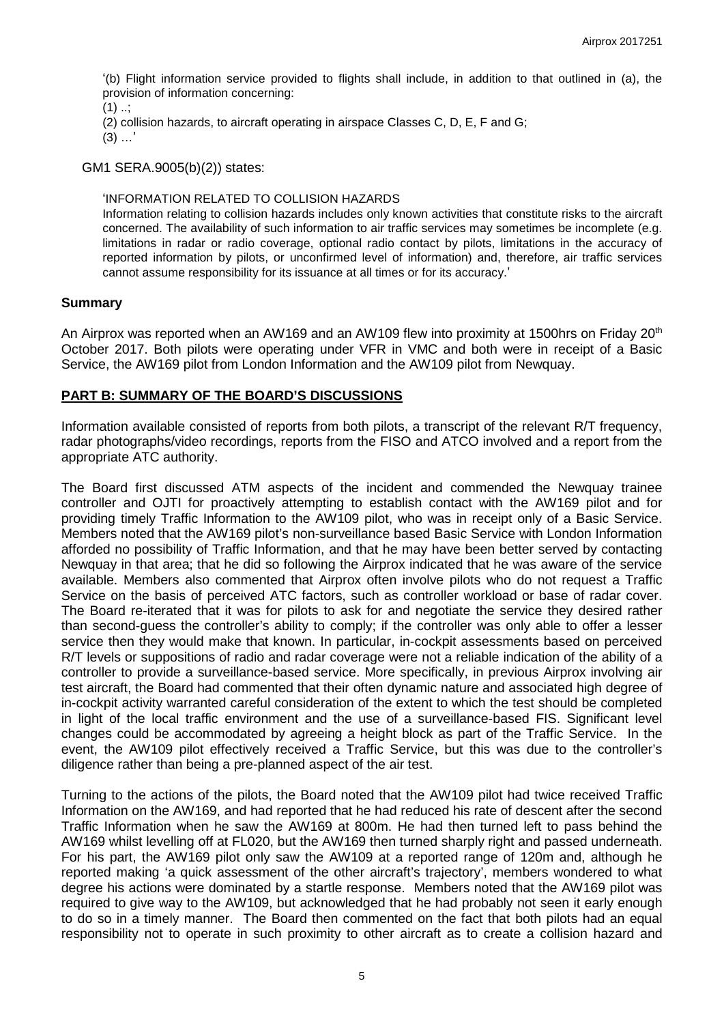'(b) Flight information service provided to flights shall include, in addition to that outlined in (a), the provision of information concerning:

 $(1)$  ...

(2) collision hazards, to aircraft operating in airspace Classes C, D, E, F and G;

 $(3)$  ...'

GM1 SERA.9005(b)(2)) states:

#### 'INFORMATION RELATED TO COLLISION HAZARDS

Information relating to collision hazards includes only known activities that constitute risks to the aircraft concerned. The availability of such information to air traffic services may sometimes be incomplete (e.g. limitations in radar or radio coverage, optional radio contact by pilots, limitations in the accuracy of reported information by pilots, or unconfirmed level of information) and, therefore, air traffic services cannot assume responsibility for its issuance at all times or for its accuracy.'

### **Summary**

An Airprox was reported when an AW169 and an AW109 flew into proximity at 1500hrs on Friday 20<sup>th</sup> October 2017. Both pilots were operating under VFR in VMC and both were in receipt of a Basic Service, the AW169 pilot from London Information and the AW109 pilot from Newquay.

## **PART B: SUMMARY OF THE BOARD'S DISCUSSIONS**

Information available consisted of reports from both pilots, a transcript of the relevant R/T frequency, radar photographs/video recordings, reports from the FISO and ATCO involved and a report from the appropriate ATC authority.

The Board first discussed ATM aspects of the incident and commended the Newquay trainee controller and OJTI for proactively attempting to establish contact with the AW169 pilot and for providing timely Traffic Information to the AW109 pilot, who was in receipt only of a Basic Service. Members noted that the AW169 pilot's non-surveillance based Basic Service with London Information afforded no possibility of Traffic Information, and that he may have been better served by contacting Newquay in that area; that he did so following the Airprox indicated that he was aware of the service available. Members also commented that Airprox often involve pilots who do not request a Traffic Service on the basis of perceived ATC factors, such as controller workload or base of radar cover. The Board re-iterated that it was for pilots to ask for and negotiate the service they desired rather than second-guess the controller's ability to comply; if the controller was only able to offer a lesser service then they would make that known. In particular, in-cockpit assessments based on perceived R/T levels or suppositions of radio and radar coverage were not a reliable indication of the ability of a controller to provide a surveillance-based service. More specifically, in previous Airprox involving air test aircraft, the Board had commented that their often dynamic nature and associated high degree of in-cockpit activity warranted careful consideration of the extent to which the test should be completed in light of the local traffic environment and the use of a surveillance-based FIS. Significant level changes could be accommodated by agreeing a height block as part of the Traffic Service. In the event, the AW109 pilot effectively received a Traffic Service, but this was due to the controller's diligence rather than being a pre-planned aspect of the air test.

Turning to the actions of the pilots, the Board noted that the AW109 pilot had twice received Traffic Information on the AW169, and had reported that he had reduced his rate of descent after the second Traffic Information when he saw the AW169 at 800m. He had then turned left to pass behind the AW169 whilst levelling off at FL020, but the AW169 then turned sharply right and passed underneath. For his part, the AW169 pilot only saw the AW109 at a reported range of 120m and, although he reported making 'a quick assessment of the other aircraft's trajectory', members wondered to what degree his actions were dominated by a startle response. Members noted that the AW169 pilot was required to give way to the AW109, but acknowledged that he had probably not seen it early enough to do so in a timely manner. The Board then commented on the fact that both pilots had an equal responsibility not to operate in such proximity to other aircraft as to create a collision hazard and